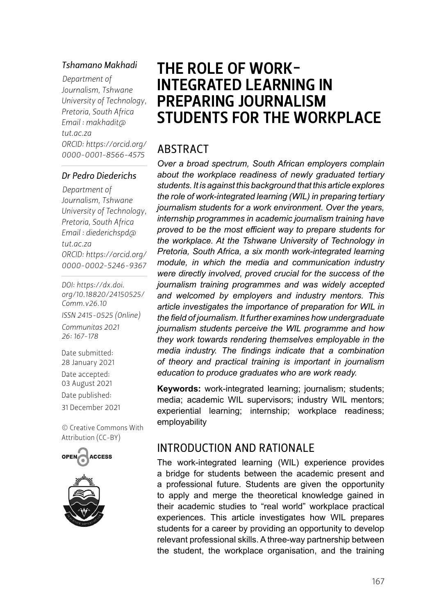#### *Tshamano Makhadi*

*Department of Journalism, Tshwane University of Technology, Pretoria, South Africa Email : [makhadit@](mailto:makhadit@tut.ac.za) [tut.ac.za](mailto:makhadit@tut.ac.za) ORCID: [https://orcid.org/](https://orcid.org/0000-0001-8566-4575) 0000-0001-8566-4575*

#### *Dr Pedro Diederichs*

*Department of Journalism, Tshwane University of Technology, Pretoria, South Africa Email : [diederichspd@](mailto:diederichspd@tut.ac.za) [tut.ac.za](mailto:diederichspd@tut.ac.za) ORCID: [https://orcid.org/](https://orcid.org/0000-0002-5246-9367
) 0000-0002-5246-9367*

*DOI: [https://dx.doi.](https://dx.doi.org/10.18820/24150525/Comm.v26.10) [org/10.18820/24150525/](https://dx.doi.org/10.18820/24150525/Comm.v26.10) [Comm.v](https://dx.doi.org/10.18820/24150525/Comm.v26.10)26.10 ISSN 2415-0525 (Online) Communitas 2021 26: 167-178*

Date submitted: 28 January 2021 Date accepted: 03 August 2021 Date published: 31 December 2021

[© Creative Commons With](https://creativecommons.org/licenses/by/2.0/za/)  [Attribution \(CC-BY\)](https://creativecommons.org/licenses/by/2.0/za/)





# THE ROLE OF WORK-INTEGRATED LEARNING IN PREPARING JOURNALISM STUDENTS FOR THE WORKPLACE

#### ABSTRACT

*Over a broad spectrum, South African employers complain about the workplace readiness of newly graduated tertiary students. It is against this background that this article explores the role of work-integrated learning (WIL) in preparing tertiary journalism students for a work environment. Over the years, internship programmes in academic journalism training have proved to be the most efficient way to prepare students for the workplace. At the Tshwane University of Technology in Pretoria, South Africa, a six month work-integrated learning module, in which the media and communication industry were directly involved, proved crucial for the success of the journalism training programmes and was widely accepted and welcomed by employers and industry mentors. This article investigates the importance of preparation for WIL in the field of journalism. It further examines how undergraduate journalism students perceive the WIL programme and how they work towards rendering themselves employable in the media industry. The findings indicate that a combination of theory and practical training is important in journalism education to produce graduates who are work ready.* 

**Keywords:** work-integrated learning; journalism; students; media; academic WIL supervisors; industry WIL mentors; experiential learning; internship; workplace readiness; employability

#### INTRODUCTION AND RATIONALE

The work-integrated learning (WIL) experience provides a bridge for students between the academic present and a professional future. Students are given the opportunity to apply and merge the theoretical knowledge gained in their academic studies to "real world" workplace practical experiences. This article investigates how WIL prepares students for a career by providing an opportunity to develop relevant professional skills. A three-way partnership between the student, the workplace organisation, and the training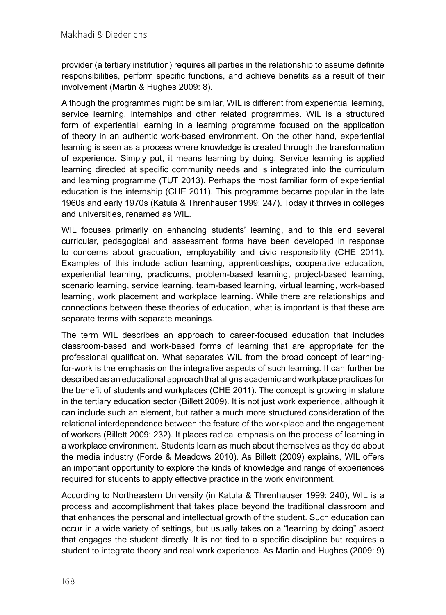provider (a tertiary institution) requires all parties in the relationship to assume definite responsibilities, perform specific functions, and achieve benefits as a result of their involvement (Martin & Hughes 2009: 8).

Although the programmes might be similar, WIL is different from experiential learning, service learning, internships and other related programmes. WIL is a structured form of experiential learning in a learning programme focused on the application of theory in an authentic work-based environment. On the other hand, experiential learning is seen as a process where knowledge is created through the transformation of experience. Simply put, it means learning by doing. Service learning is applied learning directed at specific community needs and is integrated into the curriculum and learning programme (TUT 2013). Perhaps the most familiar form of experiential education is the internship (CHE 2011). This programme became popular in the late 1960s and early 1970s (Katula & Threnhauser 1999: 247). Today it thrives in colleges and universities, renamed as WIL.

WIL focuses primarily on enhancing students' learning, and to this end several curricular, pedagogical and assessment forms have been developed in response to concerns about graduation, employability and civic responsibility (CHE 2011). Examples of this include action learning, apprenticeships, cooperative education, experiential learning, practicums, problem-based learning, project-based learning, scenario learning, service learning, team-based learning, virtual learning, work-based learning, work placement and workplace learning. While there are relationships and connections between these theories of education, what is important is that these are separate terms with separate meanings.

The term WIL describes an approach to career-focused education that includes classroom-based and work-based forms of learning that are appropriate for the professional qualification. What separates WIL from the broad concept of learningfor-work is the emphasis on the integrative aspects of such learning. It can further be described as an educational approach that aligns academic and workplace practices for the benefit of students and workplaces (CHE 2011). The concept is growing in stature in the tertiary education sector (Billett 2009). It is not just work experience, although it can include such an element, but rather a much more structured consideration of the relational interdependence between the feature of the workplace and the engagement of workers (Billett 2009: 232). It places radical emphasis on the process of learning in a workplace environment. Students learn as much about themselves as they do about the media industry (Forde & Meadows 2010). As Billett (2009) explains, WIL offers an important opportunity to explore the kinds of knowledge and range of experiences required for students to apply effective practice in the work environment.

According to Northeastern University (in Katula & Threnhauser 1999: 240), WIL is a process and accomplishment that takes place beyond the traditional classroom and that enhances the personal and intellectual growth of the student. Such education can occur in a wide variety of settings, but usually takes on a "learning by doing" aspect that engages the student directly. It is not tied to a specific discipline but requires a student to integrate theory and real work experience. As Martin and Hughes (2009: 9)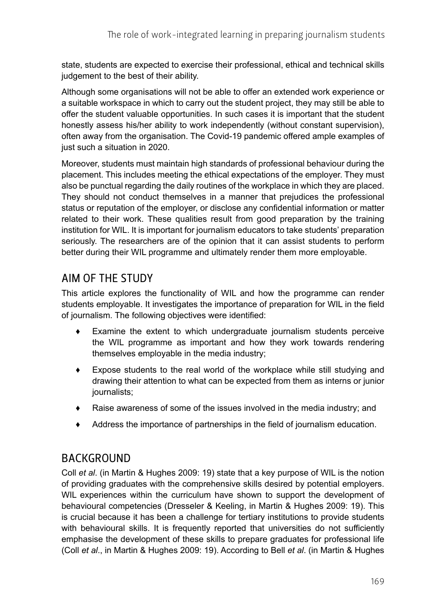state, students are expected to exercise their professional, ethical and technical skills judgement to the best of their ability.

Although some organisations will not be able to offer an extended work experience or a suitable workspace in which to carry out the student project, they may still be able to offer the student valuable opportunities. In such cases it is important that the student honestly assess his/her ability to work independently (without constant supervision), often away from the organisation. The Covid-19 pandemic offered ample examples of just such a situation in 2020.

Moreover, students must maintain high standards of professional behaviour during the placement. This includes meeting the ethical expectations of the employer. They must also be punctual regarding the daily routines of the workplace in which they are placed. They should not conduct themselves in a manner that prejudices the professional status or reputation of the employer, or disclose any confidential information or matter related to their work. These qualities result from good preparation by the training institution for WIL. It is important for journalism educators to take students' preparation seriously. The researchers are of the opinion that it can assist students to perform better during their WIL programme and ultimately render them more employable.

# AIM OF THE STUDY

This article explores the functionality of WIL and how the programme can render students employable. It investigates the importance of preparation for WIL in the field of journalism. The following objectives were identified:

- ♦ Examine the extent to which undergraduate journalism students perceive the WIL programme as important and how they work towards rendering themselves employable in the media industry;
- ♦ Expose students to the real world of the workplace while still studying and drawing their attention to what can be expected from them as interns or junior journalists;
- ♦ Raise awareness of some of the issues involved in the media industry; and
- ♦ Address the importance of partnerships in the field of journalism education.

## BACKGROUND

Coll *et al*. (in Martin & Hughes 2009: 19) state that a key purpose of WIL is the notion of providing graduates with the comprehensive skills desired by potential employers. WIL experiences within the curriculum have shown to support the development of behavioural competencies (Dresseler & Keeling, in Martin & Hughes 2009: 19). This is crucial because it has been a challenge for tertiary institutions to provide students with behavioural skills. It is frequently reported that universities do not sufficiently emphasise the development of these skills to prepare graduates for professional life (Coll *et al*., in Martin & Hughes 2009: 19). According to Bell *et al*. (in Martin & Hughes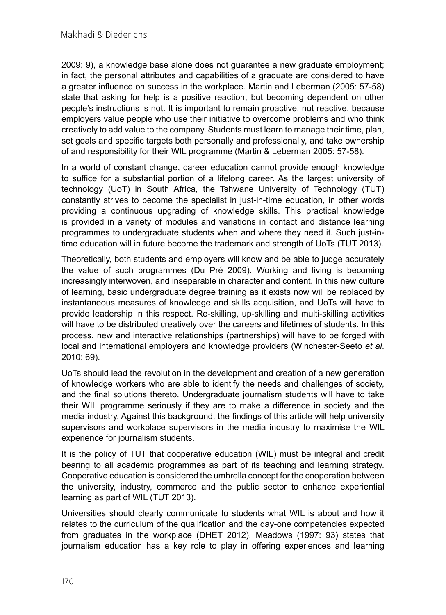2009: 9), a knowledge base alone does not guarantee a new graduate employment; in fact, the personal attributes and capabilities of a graduate are considered to have a greater influence on success in the workplace. Martin and Leberman (2005: 57-58) state that asking for help is a positive reaction, but becoming dependent on other people's instructions is not. It is important to remain proactive, not reactive, because employers value people who use their initiative to overcome problems and who think creatively to add value to the company. Students must learn to manage their time, plan, set goals and specific targets both personally and professionally, and take ownership of and responsibility for their WIL programme (Martin & Leberman 2005: 57-58).

In a world of constant change, career education cannot provide enough knowledge to suffice for a substantial portion of a lifelong career. As the largest university of technology (UoT) in South Africa, the Tshwane University of Technology (TUT) constantly strives to become the specialist in just-in-time education, in other words providing a continuous upgrading of knowledge skills. This practical knowledge is provided in a variety of modules and variations in contact and distance learning programmes to undergraduate students when and where they need it. Such just-intime education will in future become the trademark and strength of UoTs (TUT 2013).

Theoretically, both students and employers will know and be able to judge accurately the value of such programmes (Du Pré 2009). Working and living is becoming increasingly interwoven, and inseparable in character and content. In this new culture of learning, basic undergraduate degree training as it exists now will be replaced by instantaneous measures of knowledge and skills acquisition, and UoTs will have to provide leadership in this respect. Re-skilling, up-skilling and multi-skilling activities will have to be distributed creatively over the careers and lifetimes of students. In this process, new and interactive relationships (partnerships) will have to be forged with local and international employers and knowledge providers (Winchester-Seeto *et al*. 2010: 69).

UoTs should lead the revolution in the development and creation of a new generation of knowledge workers who are able to identify the needs and challenges of society, and the final solutions thereto. Undergraduate journalism students will have to take their WIL programme seriously if they are to make a difference in society and the media industry. Against this background, the findings of this article will help university supervisors and workplace supervisors in the media industry to maximise the WIL experience for journalism students.

It is the policy of TUT that cooperative education (WIL) must be integral and credit bearing to all academic programmes as part of its teaching and learning strategy. Cooperative education is considered the umbrella concept for the cooperation between the university, industry, commerce and the public sector to enhance experiential learning as part of WIL (TUT 2013).

Universities should clearly communicate to students what WIL is about and how it relates to the curriculum of the qualification and the day-one competencies expected from graduates in the workplace (DHET 2012). Meadows (1997: 93) states that journalism education has a key role to play in offering experiences and learning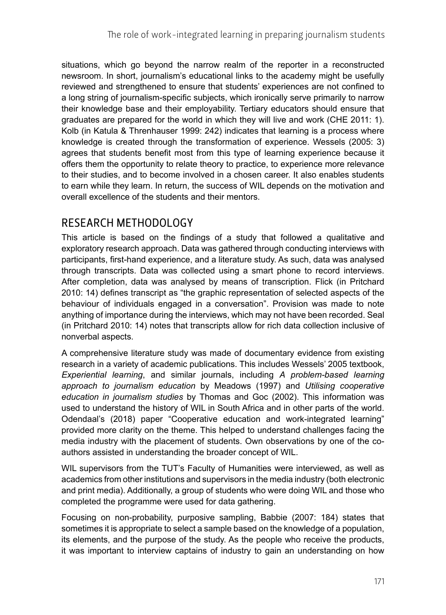situations, which go beyond the narrow realm of the reporter in a reconstructed newsroom. In short, journalism's educational links to the academy might be usefully reviewed and strengthened to ensure that students' experiences are not confined to a long string of journalism-specific subjects, which ironically serve primarily to narrow their knowledge base and their employability. Tertiary educators should ensure that graduates are prepared for the world in which they will live and work (CHE 2011: 1). Kolb (in Katula & Threnhauser 1999: 242) indicates that learning is a process where knowledge is created through the transformation of experience. Wessels (2005: 3) agrees that students benefit most from this type of learning experience because it offers them the opportunity to relate theory to practice, to experience more relevance to their studies, and to become involved in a chosen career. It also enables students to earn while they learn. In return, the success of WIL depends on the motivation and overall excellence of the students and their mentors.

# RESEARCH METHODOLOGY

This article is based on the findings of a study that followed a qualitative and exploratory research approach. Data was gathered through conducting interviews with participants, first-hand experience, and a literature study. As such, data was analysed through transcripts. Data was collected using a smart phone to record interviews. After completion, data was analysed by means of transcription. Flick (in Pritchard 2010: 14) defines transcript as "the graphic representation of selected aspects of the behaviour of individuals engaged in a conversation". Provision was made to note anything of importance during the interviews, which may not have been recorded. Seal (in Pritchard 2010: 14) notes that transcripts allow for rich data collection inclusive of nonverbal aspects.

A comprehensive literature study was made of documentary evidence from existing research in a variety of academic publications. This includes Wessels' 2005 textbook, *Experiential learning*, and similar journals, including *A problem-based learning approach to journalism education* by Meadows (1997) and *Utilising cooperative education in journalism studies* by Thomas and Goc (2002). This information was used to understand the history of WIL in South Africa and in other parts of the world. Odendaal's (2018) paper "Cooperative education and work-integrated learning" provided more clarity on the theme. This helped to understand challenges facing the media industry with the placement of students. Own observations by one of the coauthors assisted in understanding the broader concept of WIL.

WIL supervisors from the TUT's Faculty of Humanities were interviewed, as well as academics from other institutions and supervisors in the media industry (both electronic and print media). Additionally, a group of students who were doing WIL and those who completed the programme were used for data gathering.

Focusing on non-probability, purposive sampling, Babbie (2007: 184) states that sometimes it is appropriate to select a sample based on the knowledge of a population, its elements, and the purpose of the study. As the people who receive the products, it was important to interview captains of industry to gain an understanding on how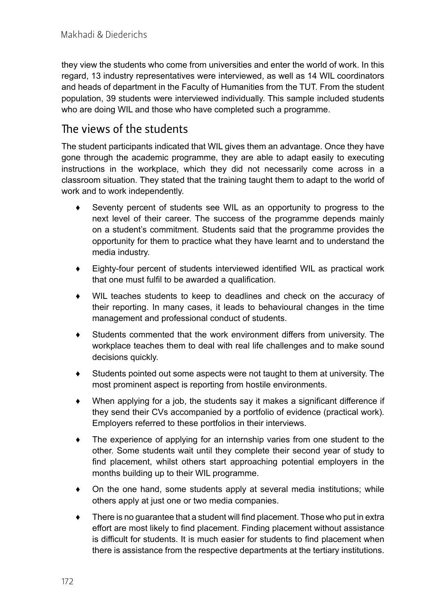they view the students who come from universities and enter the world of work. In this regard, 13 industry representatives were interviewed, as well as 14 WIL coordinators and heads of department in the Faculty of Humanities from the TUT. From the student population, 39 students were interviewed individually. This sample included students who are doing WIL and those who have completed such a programme.

#### The views of the students

The student participants indicated that WIL gives them an advantage. Once they have gone through the academic programme, they are able to adapt easily to executing instructions in the workplace, which they did not necessarily come across in a classroom situation. They stated that the training taught them to adapt to the world of work and to work independently.

- Seventy percent of students see WIL as an opportunity to progress to the next level of their career. The success of the programme depends mainly on a student's commitment. Students said that the programme provides the opportunity for them to practice what they have learnt and to understand the media industry.
- ♦ Eighty-four percent of students interviewed identified WIL as practical work that one must fulfil to be awarded a qualification.
- ♦ WIL teaches students to keep to deadlines and check on the accuracy of their reporting. In many cases, it leads to behavioural changes in the time management and professional conduct of students.
- ♦ Students commented that the work environment differs from university. The workplace teaches them to deal with real life challenges and to make sound decisions quickly.
- ♦ Students pointed out some aspects were not taught to them at university. The most prominent aspect is reporting from hostile environments.
- ♦ When applying for a job, the students say it makes a significant difference if they send their CVs accompanied by a portfolio of evidence (practical work). Employers referred to these portfolios in their interviews.
- ♦ The experience of applying for an internship varies from one student to the other. Some students wait until they complete their second year of study to find placement, whilst others start approaching potential employers in the months building up to their WIL programme.
- $\bullet$  On the one hand, some students apply at several media institutions; while others apply at just one or two media companies.
- $\bullet$  There is no guarantee that a student will find placement. Those who put in extra effort are most likely to find placement. Finding placement without assistance is difficult for students. It is much easier for students to find placement when there is assistance from the respective departments at the tertiary institutions.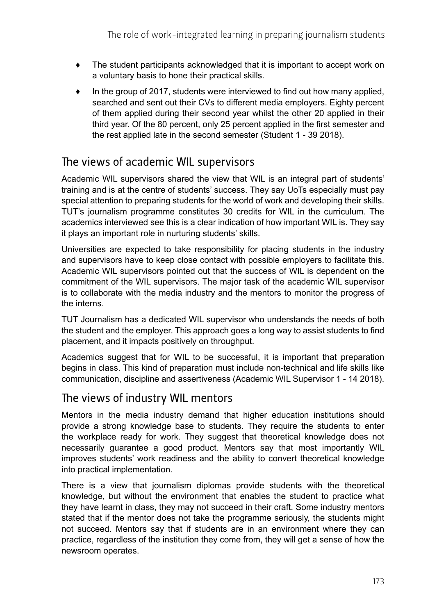- ♦ The student participants acknowledged that it is important to accept work on a voluntary basis to hone their practical skills.
- $\bullet$  In the group of 2017, students were interviewed to find out how many applied, searched and sent out their CVs to different media employers. Eighty percent of them applied during their second year whilst the other 20 applied in their third year. Of the 80 percent, only 25 percent applied in the first semester and the rest applied late in the second semester (Student 1 - 39 2018).

# The views of academic WIL supervisors

Academic WIL supervisors shared the view that WIL is an integral part of students' training and is at the centre of students' success. They say UoTs especially must pay special attention to preparing students for the world of work and developing their skills. TUT's journalism programme constitutes 30 credits for WIL in the curriculum. The academics interviewed see this is a clear indication of how important WIL is. They say it plays an important role in nurturing students' skills.

Universities are expected to take responsibility for placing students in the industry and supervisors have to keep close contact with possible employers to facilitate this. Academic WIL supervisors pointed out that the success of WIL is dependent on the commitment of the WIL supervisors. The major task of the academic WIL supervisor is to collaborate with the media industry and the mentors to monitor the progress of the interns.

TUT Journalism has a dedicated WIL supervisor who understands the needs of both the student and the employer. This approach goes a long way to assist students to find placement, and it impacts positively on throughput.

Academics suggest that for WIL to be successful, it is important that preparation begins in class. This kind of preparation must include non-technical and life skills like communication, discipline and assertiveness (Academic WIL Supervisor 1 - 14 2018).

# The views of industry WIL mentors

Mentors in the media industry demand that higher education institutions should provide a strong knowledge base to students. They require the students to enter the workplace ready for work. They suggest that theoretical knowledge does not necessarily guarantee a good product. Mentors say that most importantly WIL improves students' work readiness and the ability to convert theoretical knowledge into practical implementation.

There is a view that journalism diplomas provide students with the theoretical knowledge, but without the environment that enables the student to practice what they have learnt in class, they may not succeed in their craft. Some industry mentors stated that if the mentor does not take the programme seriously, the students might not succeed. Mentors say that if students are in an environment where they can practice, regardless of the institution they come from, they will get a sense of how the newsroom operates.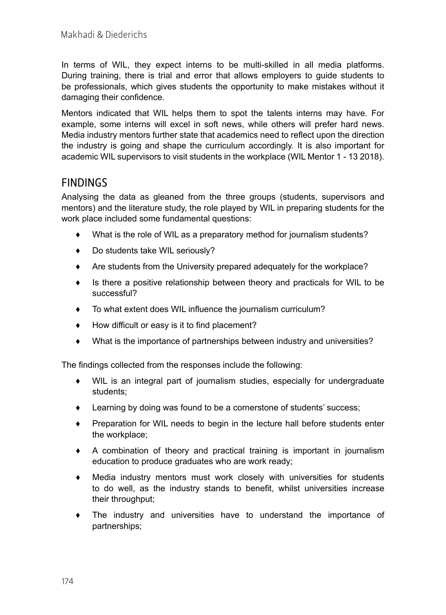In terms of WIL, they expect interns to be multi-skilled in all media platforms. During training, there is trial and error that allows employers to guide students to be professionals, which gives students the opportunity to make mistakes without it damaging their confidence.

Mentors indicated that WIL helps them to spot the talents interns may have. For example, some interns will excel in soft news, while others will prefer hard news. Media industry mentors further state that academics need to reflect upon the direction the industry is going and shape the curriculum accordingly. It is also important for academic WIL supervisors to visit students in the workplace (WIL Mentor 1 - 13 2018).

#### **FINDINGS**

Analysing the data as gleaned from the three groups (students, supervisors and mentors) and the literature study, the role played by WIL in preparing students for the work place included some fundamental questions:

- ♦ What is the role of WIL as a preparatory method for journalism students?
- ♦ Do students take WIL seriously?
- ♦ Are students from the University prepared adequately for the workplace?
- ♦ Is there a positive relationship between theory and practicals for WIL to be successful?
- ♦ To what extent does WIL influence the journalism curriculum?
- ♦ How difficult or easy is it to find placement?
- ♦ What is the importance of partnerships between industry and universities?

The findings collected from the responses include the following:

- ♦ WIL is an integral part of journalism studies, especially for undergraduate students;
- ♦ Learning by doing was found to be a cornerstone of students' success;
- ♦ Preparation for WIL needs to begin in the lecture hall before students enter the workplace;
- ♦ A combination of theory and practical training is important in journalism education to produce graduates who are work ready;
- ♦ Media industry mentors must work closely with universities for students to do well, as the industry stands to benefit, whilst universities increase their throughput;
- ♦ The industry and universities have to understand the importance of partnerships;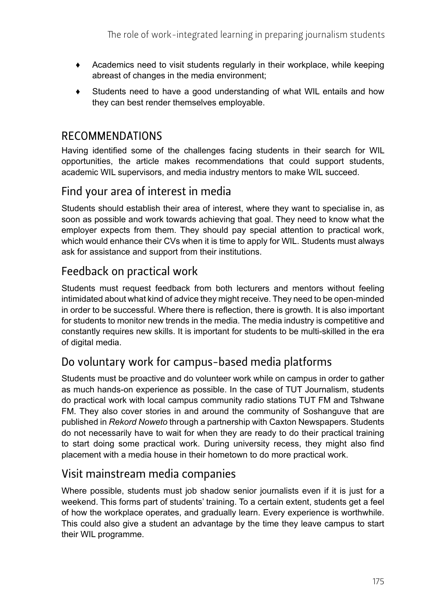- ♦ Academics need to visit students regularly in their workplace, while keeping abreast of changes in the media environment;
- ♦ Students need to have a good understanding of what WIL entails and how they can best render themselves employable.

#### RECOMMENDATIONS

Having identified some of the challenges facing students in their search for WIL opportunities, the article makes recommendations that could support students, academic WIL supervisors, and media industry mentors to make WIL succeed.

# Find your area of interest in media

Students should establish their area of interest, where they want to specialise in, as soon as possible and work towards achieving that goal. They need to know what the employer expects from them. They should pay special attention to practical work, which would enhance their CVs when it is time to apply for WIL. Students must always ask for assistance and support from their institutions.

# Feedback on practical work

Students must request feedback from both lecturers and mentors without feeling intimidated about what kind of advice they might receive. They need to be open-minded in order to be successful. Where there is reflection, there is growth. It is also important for students to monitor new trends in the media. The media industry is competitive and constantly requires new skills. It is important for students to be multi-skilled in the era of digital media.

# Do voluntary work for campus-based media platforms

Students must be proactive and do volunteer work while on campus in order to gather as much hands-on experience as possible. In the case of TUT Journalism, students do practical work with local campus community radio stations TUT FM and Tshwane FM. They also cover stories in and around the community of Soshanguve that are published in *Rekord Noweto* through a partnership with Caxton Newspapers. Students do not necessarily have to wait for when they are ready to do their practical training to start doing some practical work. During university recess, they might also find placement with a media house in their hometown to do more practical work.

## Visit mainstream media companies

Where possible, students must job shadow senior journalists even if it is just for a weekend. This forms part of students' training. To a certain extent, students get a feel of how the workplace operates, and gradually learn. Every experience is worthwhile. This could also give a student an advantage by the time they leave campus to start their WIL programme.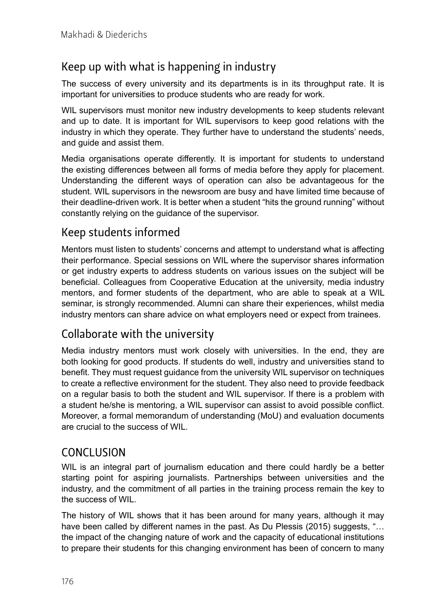# Keep up with what is happening in industry

The success of every university and its departments is in its throughput rate. It is important for universities to produce students who are ready for work.

WIL supervisors must monitor new industry developments to keep students relevant and up to date. It is important for WIL supervisors to keep good relations with the industry in which they operate. They further have to understand the students' needs, and guide and assist them.

Media organisations operate differently. It is important for students to understand the existing differences between all forms of media before they apply for placement. Understanding the different ways of operation can also be advantageous for the student. WIL supervisors in the newsroom are busy and have limited time because of their deadline-driven work. It is better when a student "hits the ground running" without constantly relying on the guidance of the supervisor.

## Keep students informed

Mentors must listen to students' concerns and attempt to understand what is affecting their performance. Special sessions on WIL where the supervisor shares information or get industry experts to address students on various issues on the subject will be beneficial. Colleagues from Cooperative Education at the university, media industry mentors, and former students of the department, who are able to speak at a WIL seminar, is strongly recommended. Alumni can share their experiences, whilst media industry mentors can share advice on what employers need or expect from trainees.

## Collaborate with the university

Media industry mentors must work closely with universities. In the end, they are both looking for good products. If students do well, industry and universities stand to benefit. They must request guidance from the university WIL supervisor on techniques to create a reflective environment for the student. They also need to provide feedback on a regular basis to both the student and WIL supervisor. If there is a problem with a student he/she is mentoring, a WIL supervisor can assist to avoid possible conflict. Moreover, a formal memorandum of understanding (MoU) and evaluation documents are crucial to the success of WIL.

## CONCLUSION

WIL is an integral part of journalism education and there could hardly be a better starting point for aspiring journalists. Partnerships between universities and the industry, and the commitment of all parties in the training process remain the key to the success of WIL.

The history of WIL shows that it has been around for many years, although it may have been called by different names in the past. As Du Plessis (2015) suggests, "… the impact of the changing nature of work and the capacity of educational institutions to prepare their students for this changing environment has been of concern to many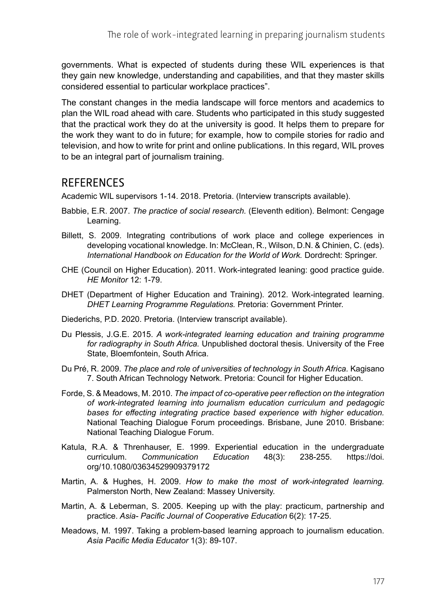governments. What is expected of students during these WIL experiences is that they gain new knowledge, understanding and capabilities, and that they master skills considered essential to particular workplace practices".

The constant changes in the media landscape will force mentors and academics to plan the WIL road ahead with care. Students who participated in this study suggested that the practical work they do at the university is good. It helps them to prepare for the work they want to do in future; for example, how to compile stories for radio and television, and how to write for print and online publications. In this regard, WIL proves to be an integral part of journalism training.

#### **REFERENCES**

Academic WIL supervisors 1-14. 2018. Pretoria. (Interview transcripts available).

- Babbie, E.R. 2007. *The practice of social research.* (Eleventh edition). Belmont: Cengage Learning.
- Billett, S. 2009. Integrating contributions of work place and college experiences in developing vocational knowledge. In: McClean, R., Wilson, D.N. & Chinien, C. (eds). *International Handbook on Education for the World of Work.* Dordrecht: Springer.
- CHE (Council on Higher Education). 2011. Work-integrated leaning: good practice guide. *HE Monitor* 12: 1-79.
- DHET (Department of Higher Education and Training). 2012. Work-integrated learning. *DHET Learning Programme Regulations.* Pretoria: Government Printer.
- Diederichs, P.D. 2020. Pretoria. (Interview transcript available).
- Du Plessis, J.G.E. 2015. *A work-integrated learning education and training programme for radiography in South Africa.* Unpublished doctoral thesis. University of the Free State, Bloemfontein, South Africa.
- Du Pré, R. 2009. *The place and role of universities of technology in South Africa.* Kagisano 7. South African Technology Network. Pretoria: Council for Higher Education.
- Forde, S. & Meadows, M. 2010. *The impact of co-operative peer reflection on the integration of work-integrated learning into journalism education curriculum and pedagogic bases for effecting integrating practice based experience with higher education.*  National Teaching Dialogue Forum proceedings. Brisbane, June 2010. Brisbane: National Teaching Dialogue Forum.
- Katula, R.A. & Threnhauser, E. 1999. Experiential education in the undergraduate<br>curriculum. Communication Education 48(3): 238-255. https://doi. curriculum. *Communication Education* 48(3): 238-255. [https://doi.](https://doi.org/10.1080/03634529909379172) [org/10.1080/03634529909379172](https://doi.org/10.1080/03634529909379172)
- Martin, A. & Hughes, H. 2009. *How to make the most of work-integrated learning.*  Palmerston North, New Zealand: Massey University.
- Martin, A. & Leberman, S. 2005. Keeping up with the play: practicum, partnership and practice. *Asia- Pacific Journal of Cooperative Education* 6(2): 17-25.
- Meadows, M. 1997. Taking a problem-based learning approach to journalism education. *Asia Pacific Media Educator* 1(3): 89-107.